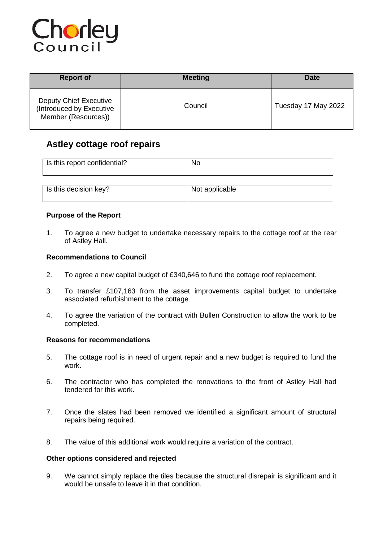

| <b>Report of</b>                                                                 | <b>Meeting</b> | Date                |
|----------------------------------------------------------------------------------|----------------|---------------------|
| <b>Deputy Chief Executive</b><br>(Introduced by Executive<br>Member (Resources)) | Council        | Tuesday 17 May 2022 |

# **Astley cottage roof repairs**

| Is this report confidential? | No                                        |
|------------------------------|-------------------------------------------|
| .                            | $\sim$ $\sim$ $\sim$ $\sim$ $\sim$ $\sim$ |

| Is this decision key? | Not applicable |
|-----------------------|----------------|
|                       |                |

# **Purpose of the Report**

1. To agree a new budget to undertake necessary repairs to the cottage roof at the rear of Astley Hall.

# **Recommendations to Council**

- 2. To agree a new capital budget of £340,646 to fund the cottage roof replacement.
- 3. To transfer £107,163 from the asset improvements capital budget to undertake associated refurbishment to the cottage
- 4. To agree the variation of the contract with Bullen Construction to allow the work to be completed.

# **Reasons for recommendations**

- 5. The cottage roof is in need of urgent repair and a new budget is required to fund the work.
- 6. The contractor who has completed the renovations to the front of Astley Hall had tendered for this work.
- 7. Once the slates had been removed we identified a significant amount of structural repairs being required.
- 8. The value of this additional work would require a variation of the contract.

#### **Other options considered and rejected**

9. We cannot simply replace the tiles because the structural disrepair is significant and it would be unsafe to leave it in that condition.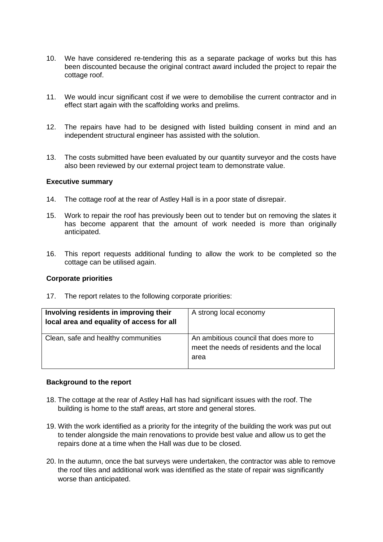- 10. We have considered re-tendering this as a separate package of works but this has been discounted because the original contract award included the project to repair the cottage roof.
- 11. We would incur significant cost if we were to demobilise the current contractor and in effect start again with the scaffolding works and prelims.
- 12. The repairs have had to be designed with listed building consent in mind and an independent structural engineer has assisted with the solution.
- 13. The costs submitted have been evaluated by our quantity surveyor and the costs have also been reviewed by our external project team to demonstrate value.

#### **Executive summary**

- 14. The cottage roof at the rear of Astley Hall is in a poor state of disrepair.
- 15. Work to repair the roof has previously been out to tender but on removing the slates it has become apparent that the amount of work needed is more than originally anticipated.
- 16. This report requests additional funding to allow the work to be completed so the cottage can be utilised again.

### **Corporate priorities**

17. The report relates to the following corporate priorities:

| Involving residents in improving their<br>local area and equality of access for all | A strong local economy                                                                      |  |
|-------------------------------------------------------------------------------------|---------------------------------------------------------------------------------------------|--|
| Clean, safe and healthy communities                                                 | An ambitious council that does more to<br>meet the needs of residents and the local<br>area |  |

#### **Background to the report**

- 18. The cottage at the rear of Astley Hall has had significant issues with the roof. The building is home to the staff areas, art store and general stores.
- 19. With the work identified as a priority for the integrity of the building the work was put out to tender alongside the main renovations to provide best value and allow us to get the repairs done at a time when the Hall was due to be closed.
- 20. In the autumn, once the bat surveys were undertaken, the contractor was able to remove the roof tiles and additional work was identified as the state of repair was significantly worse than anticipated.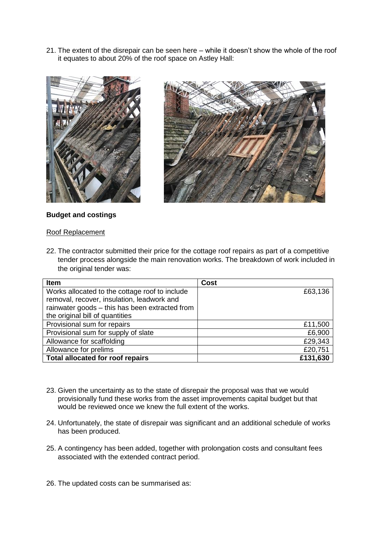21. The extent of the disrepair can be seen here – while it doesn't show the whole of the roof it equates to about 20% of the roof space on Astley Hall:





# **Budget and costings**

### Roof Replacement

22. The contractor submitted their price for the cottage roof repairs as part of a competitive tender process alongside the main renovation works. The breakdown of work included in the original tender was:

| Item                                           | <b>Cost</b> |
|------------------------------------------------|-------------|
| Works allocated to the cottage roof to include | £63,136     |
| removal, recover, insulation, leadwork and     |             |
| rainwater goods - this has been extracted from |             |
| the original bill of quantities                |             |
| Provisional sum for repairs                    | £11,500     |
| Provisional sum for supply of slate            | £6,900      |
| Allowance for scaffolding                      | £29,343     |
| Allowance for prelims                          | £20,751     |
| <b>Total allocated for roof repairs</b>        | £131,630    |

- 23. Given the uncertainty as to the state of disrepair the proposal was that we would provisionally fund these works from the asset improvements capital budget but that would be reviewed once we knew the full extent of the works.
- 24. Unfortunately, the state of disrepair was significant and an additional schedule of works has been produced.
- 25. A contingency has been added, together with prolongation costs and consultant fees associated with the extended contract period.
- 26. The updated costs can be summarised as: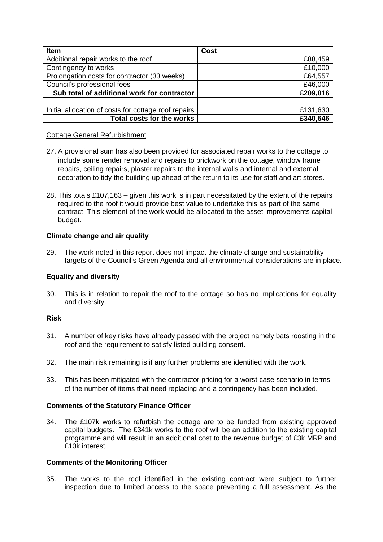| <b>Item</b>                                          | <b>Cost</b> |
|------------------------------------------------------|-------------|
| Additional repair works to the roof                  | £88,459     |
| Contingency to works                                 | £10,000     |
| Prolongation costs for contractor (33 weeks)         | £64,557     |
| Council's professional fees                          | £46,000     |
| Sub total of additional work for contractor          | £209,016    |
|                                                      |             |
| Initial allocation of costs for cottage roof repairs | £131,630    |
| <b>Total costs for the works</b>                     | £340,646    |

# Cottage General Refurbishment

- 27. A provisional sum has also been provided for associated repair works to the cottage to include some render removal and repairs to brickwork on the cottage, window frame repairs, ceiling repairs, plaster repairs to the internal walls and internal and external decoration to tidy the building up ahead of the return to its use for staff and art stores.
- 28. This totals £107,163 given this work is in part necessitated by the extent of the repairs required to the roof it would provide best value to undertake this as part of the same contract. This element of the work would be allocated to the asset improvements capital budget.

# **Climate change and air quality**

29. The work noted in this report does not impact the climate change and sustainability targets of the Council's Green Agenda and all environmental considerations are in place.

# **Equality and diversity**

30. This is in relation to repair the roof to the cottage so has no implications for equality and diversity.

# **Risk**

- 31. A number of key risks have already passed with the project namely bats roosting in the roof and the requirement to satisfy listed building consent.
- 32. The main risk remaining is if any further problems are identified with the work.
- 33. This has been mitigated with the contractor pricing for a worst case scenario in terms of the number of items that need replacing and a contingency has been included.

# **Comments of the Statutory Finance Officer**

34. The £107k works to refurbish the cottage are to be funded from existing approved capital budgets. The £341k works to the roof will be an addition to the existing capital programme and will result in an additional cost to the revenue budget of £3k MRP and £10k interest.

# **Comments of the Monitoring Officer**

35. The works to the roof identified in the existing contract were subject to further inspection due to limited access to the space preventing a full assessment. As the